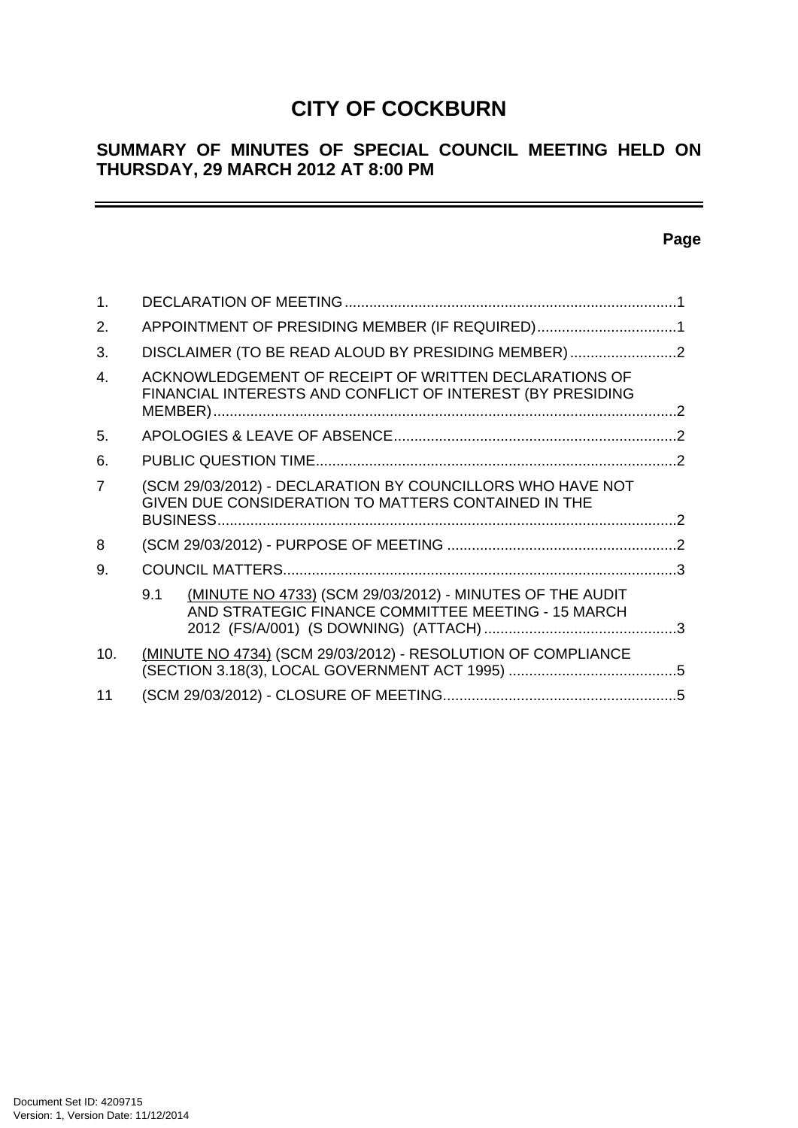# **CITY OF COCKBURN**

# **SUMMARY OF MINUTES OF SPECIAL COUNCIL MEETING HELD ON THURSDAY, 29 MARCH 2012 AT 8:00 PM**

# **Page**

| 1.             |                                                                                                                     |                                                                                                                |  |  |  |
|----------------|---------------------------------------------------------------------------------------------------------------------|----------------------------------------------------------------------------------------------------------------|--|--|--|
| 2.             | APPOINTMENT OF PRESIDING MEMBER (IF REQUIRED)1                                                                      |                                                                                                                |  |  |  |
| 3.             | DISCLAIMER (TO BE READ ALOUD BY PRESIDING MEMBER)2                                                                  |                                                                                                                |  |  |  |
| $\overline{4}$ | ACKNOWLEDGEMENT OF RECEIPT OF WRITTEN DECLARATIONS OF<br>FINANCIAL INTERESTS AND CONFLICT OF INTEREST (BY PRESIDING |                                                                                                                |  |  |  |
| 5.             |                                                                                                                     |                                                                                                                |  |  |  |
| 6.             |                                                                                                                     |                                                                                                                |  |  |  |
| $\overline{7}$ | (SCM 29/03/2012) - DECLARATION BY COUNCILLORS WHO HAVE NOT<br>GIVEN DUE CONSIDERATION TO MATTERS CONTAINED IN THE   |                                                                                                                |  |  |  |
| 8              |                                                                                                                     |                                                                                                                |  |  |  |
| 9.             |                                                                                                                     |                                                                                                                |  |  |  |
|                | 9.1                                                                                                                 | (MINUTE NO 4733) (SCM 29/03/2012) - MINUTES OF THE AUDIT<br>AND STRATEGIC FINANCE COMMITTEE MEETING - 15 MARCH |  |  |  |
| 10.            |                                                                                                                     | (MINUTE NO 4734) (SCM 29/03/2012) - RESOLUTION OF COMPLIANCE                                                   |  |  |  |
| 11             |                                                                                                                     |                                                                                                                |  |  |  |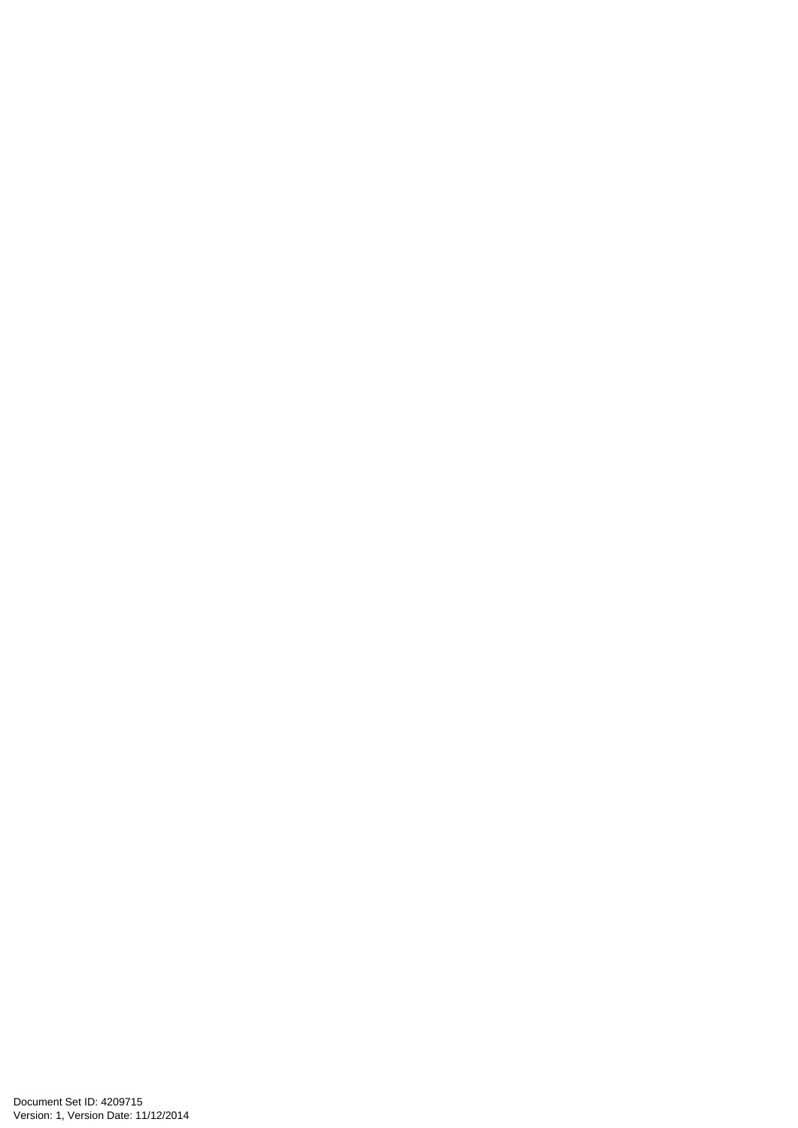Document Set ID: 4209715<br>Version: 1, Version Date: 11/12/2014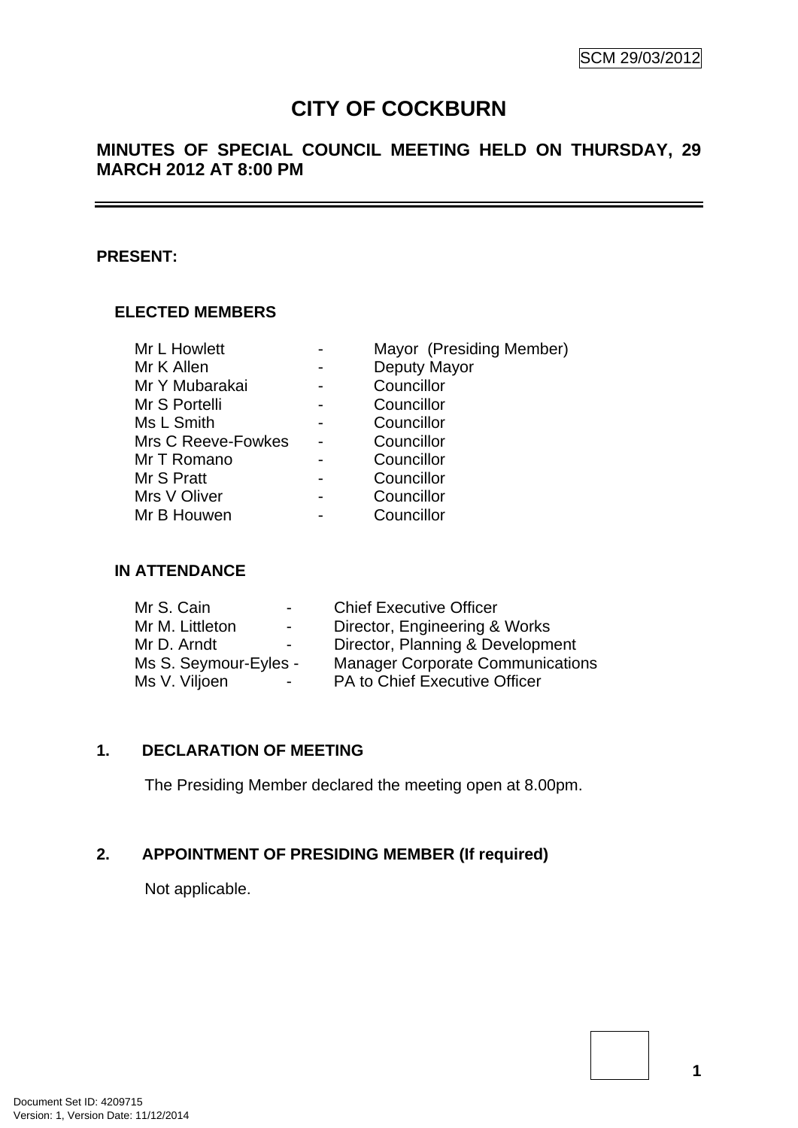# **CITY OF COCKBURN**

# **MINUTES OF SPECIAL COUNCIL MEETING HELD ON THURSDAY, 29 MARCH 2012 AT 8:00 PM**

#### **PRESENT:**

## **ELECTED MEMBERS**

| Mr L Howlett       | Mayor (Presiding Member) |
|--------------------|--------------------------|
| Mr K Allen         | Deputy Mayor             |
| Mr Y Mubarakai     | Councillor               |
| Mr S Portelli      | Councillor               |
| Ms L Smith         | Councillor               |
| Mrs C Reeve-Fowkes | Councillor               |
| Mr T Romano        | Councillor               |
| Mr S Pratt         | Councillor               |
| Mrs V Oliver       | Councillor               |
| Mr B Houwen        | Councillor               |

## **IN ATTENDANCE**

| Mr S. Cain                      | $\sim$         | <b>Chief Executive Officer</b>          |
|---------------------------------|----------------|-----------------------------------------|
| Mr M. Littleton                 | $\overline{a}$ | Director, Engineering & Works           |
| Mr D. Arndt                     | $\sim$         | Director, Planning & Development        |
| Ms S. Seymour-Eyles -           |                | <b>Manager Corporate Communications</b> |
| Ms V. Viljoen<br>$\blacksquare$ |                | PA to Chief Executive Officer           |

## **1. DECLARATION OF MEETING**

The Presiding Member declared the meeting open at 8.00pm.

## **2. APPOINTMENT OF PRESIDING MEMBER (If required)**

Not applicable.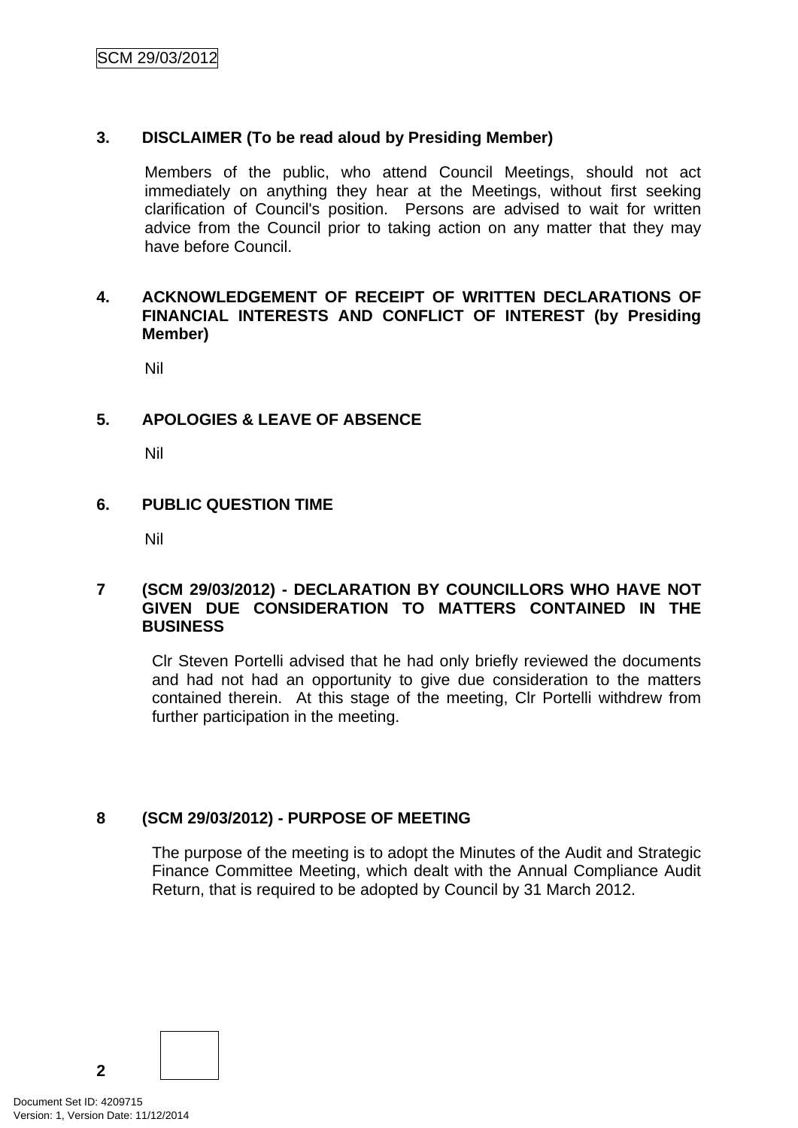## **3. DISCLAIMER (To be read aloud by Presiding Member)**

Members of the public, who attend Council Meetings, should not act immediately on anything they hear at the Meetings, without first seeking clarification of Council's position. Persons are advised to wait for written advice from the Council prior to taking action on any matter that they may have before Council.

## **4. ACKNOWLEDGEMENT OF RECEIPT OF WRITTEN DECLARATIONS OF FINANCIAL INTERESTS AND CONFLICT OF INTEREST (by Presiding Member)**

Nil

## **5. APOLOGIES & LEAVE OF ABSENCE**

Nil

## **6. PUBLIC QUESTION TIME**

Nil

#### **7 (SCM 29/03/2012) - DECLARATION BY COUNCILLORS WHO HAVE NOT GIVEN DUE CONSIDERATION TO MATTERS CONTAINED IN THE BUSINESS**

Clr Steven Portelli advised that he had only briefly reviewed the documents and had not had an opportunity to give due consideration to the matters contained therein. At this stage of the meeting, Clr Portelli withdrew from further participation in the meeting.

## **8 (SCM 29/03/2012) - PURPOSE OF MEETING**

The purpose of the meeting is to adopt the Minutes of the Audit and Strategic Finance Committee Meeting, which dealt with the Annual Compliance Audit Return, that is required to be adopted by Council by 31 March 2012.

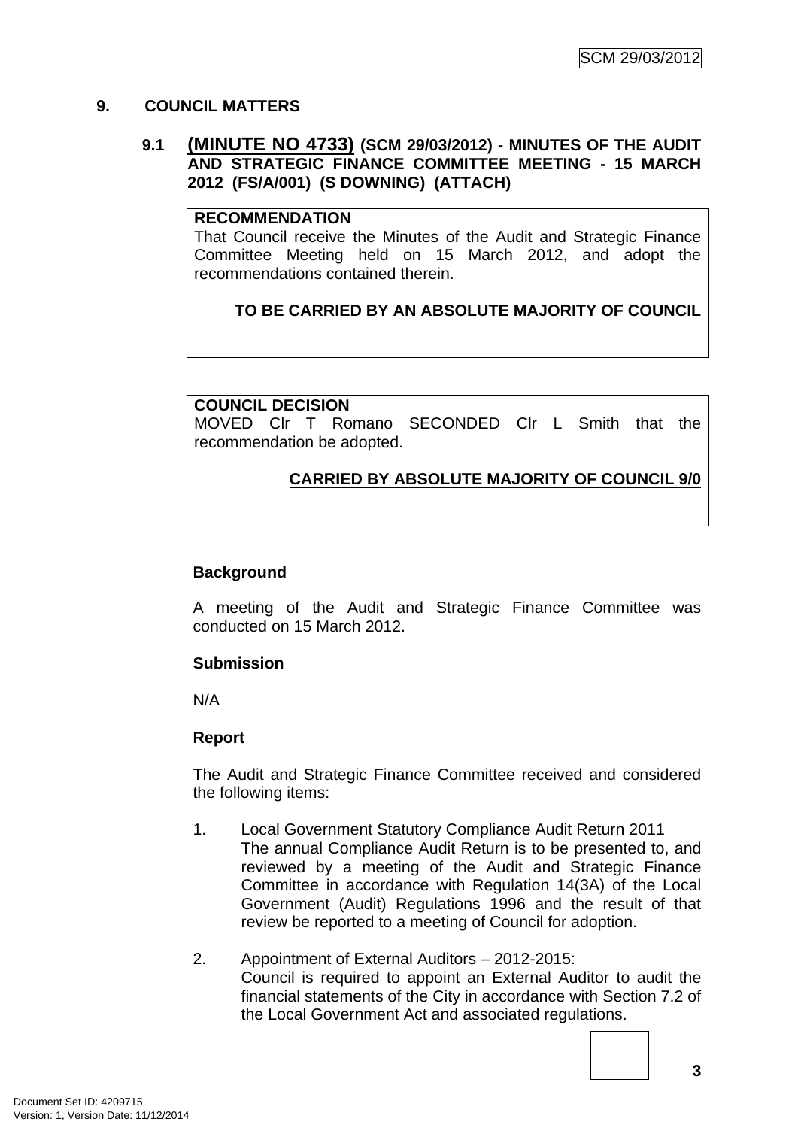## **9. COUNCIL MATTERS**

## **9.1 (MINUTE NO 4733) (SCM 29/03/2012) - MINUTES OF THE AUDIT AND STRATEGIC FINANCE COMMITTEE MEETING - 15 MARCH 2012 (FS/A/001) (S DOWNING) (ATTACH)**

#### **RECOMMENDATION**

That Council receive the Minutes of the Audit and Strategic Finance Committee Meeting held on 15 March 2012, and adopt the recommendations contained therein.

## **TO BE CARRIED BY AN ABSOLUTE MAJORITY OF COUNCIL**

#### **COUNCIL DECISION**

MOVED Clr T Romano SECONDED Clr L Smith that the recommendation be adopted.

## **CARRIED BY ABSOLUTE MAJORITY OF COUNCIL 9/0**

## **Background**

A meeting of the Audit and Strategic Finance Committee was conducted on 15 March 2012.

#### **Submission**

N/A

## **Report**

The Audit and Strategic Finance Committee received and considered the following items:

- 1. Local Government Statutory Compliance Audit Return 2011 The annual Compliance Audit Return is to be presented to, and reviewed by a meeting of the Audit and Strategic Finance Committee in accordance with Regulation 14(3A) of the Local Government (Audit) Regulations 1996 and the result of that review be reported to a meeting of Council for adoption.
- 2. Appointment of External Auditors 2012-2015: Council is required to appoint an External Auditor to audit the financial statements of the City in accordance with Section 7.2 of the Local Government Act and associated regulations.

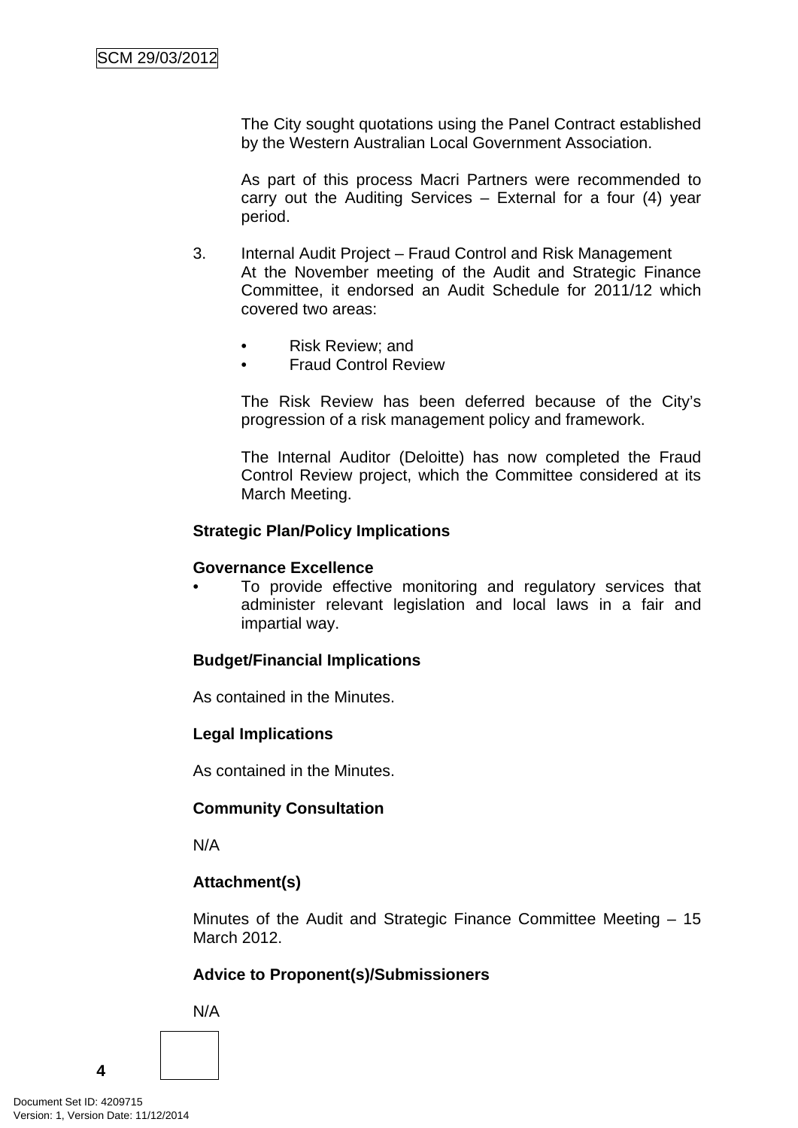The City sought quotations using the Panel Contract established by the Western Australian Local Government Association.

As part of this process Macri Partners were recommended to carry out the Auditing Services – External for a four (4) year period.

- 3. Internal Audit Project Fraud Control and Risk Management At the November meeting of the Audit and Strategic Finance Committee, it endorsed an Audit Schedule for 2011/12 which covered two areas:
	- Risk Review; and
	- Fraud Control Review

The Risk Review has been deferred because of the City's progression of a risk management policy and framework.

The Internal Auditor (Deloitte) has now completed the Fraud Control Review project, which the Committee considered at its March Meeting.

#### **Strategic Plan/Policy Implications**

#### **Governance Excellence**

To provide effective monitoring and regulatory services that administer relevant legislation and local laws in a fair and impartial way.

#### **Budget/Financial Implications**

As contained in the Minutes.

#### **Legal Implications**

As contained in the Minutes.

#### **Community Consultation**

N/A

#### **Attachment(s)**

Minutes of the Audit and Strategic Finance Committee Meeting – 15 March 2012.

## **Advice to Proponent(s)/Submissioners**

N/A

**4**